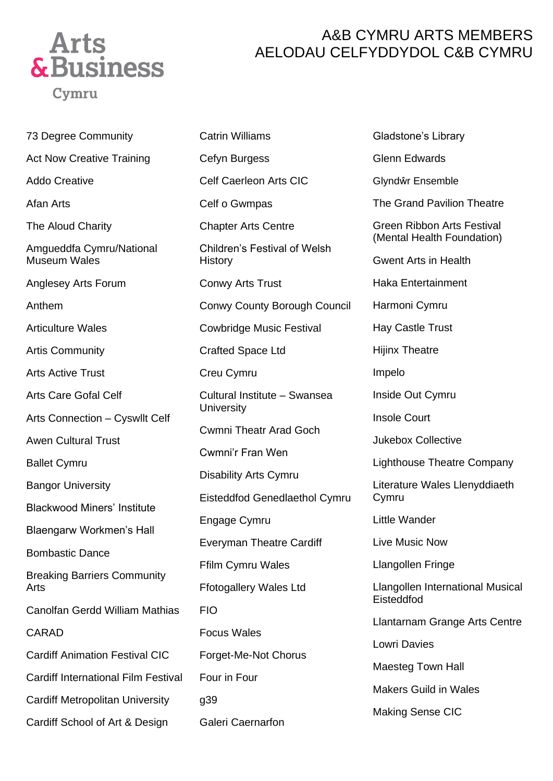

## A&B CYMRU ARTS MEMBERS AELODAU CELFYDDYDOL C&B CYMRU

73 Degree Community Act Now Creative Training Addo Creative Afan Arts The Aloud Charity Amgueddfa Cymru/National Museum Wales Anglesey Arts Forum Anthem Articulture Wales Artis Community Arts Active Trust Arts Care Gofal Celf Arts Connection – Cyswllt Celf Awen Cultural Trust Ballet Cymru Bangor University Blackwood Miners' Institute Blaengarw Workmen's Hall Bombastic Dance Breaking Barriers Community Arts Canolfan Gerdd William Mathias CARAD Cardiff Animation Festival CIC Cardiff International Film Festival Cardiff Metropolitan University

Cardiff School of Art & Design

Cefyn Burgess Celf Caerleon Arts CIC Celf o Gwmpas Chapter Arts Centre Children's Festival of Welsh **History** Conwy Arts Trust Conwy County Borough Council Cowbridge Music Festival Crafted Space Ltd Creu Cymru Cultural Institute – Swansea **University** Cwmni Theatr Arad Goch Cwmni'r Fran Wen Disability Arts Cymru Eisteddfod Genedlaethol Cymru Engage Cymru Everyman Theatre Cardiff Ffilm Cymru Wales Ffotogallery Wales Ltd FIO Focus Wales Forget-Me-Not Chorus Four in Four g39 Galeri Caernarfon

Catrin Williams

Gladstone's Library Glenn Edwards Glyndŵr Ensemble The Grand Pavilion Theatre Green Ribbon Arts Festival (Mental Health Foundation) Gwent Arts in Health Haka Entertainment Harmoni Cymru Hay Castle Trust Hijinx Theatre Impelo Inside Out Cymru Insole Court Jukebox Collective Lighthouse Theatre Company Literature Wales Llenyddiaeth Cymru Little Wander Live Music Now Llangollen Fringe Llangollen International Musical Eisteddfod Llantarnam Grange Arts Centre Lowri Davies Maesteg Town Hall Makers Guild in Wales Making Sense CIC